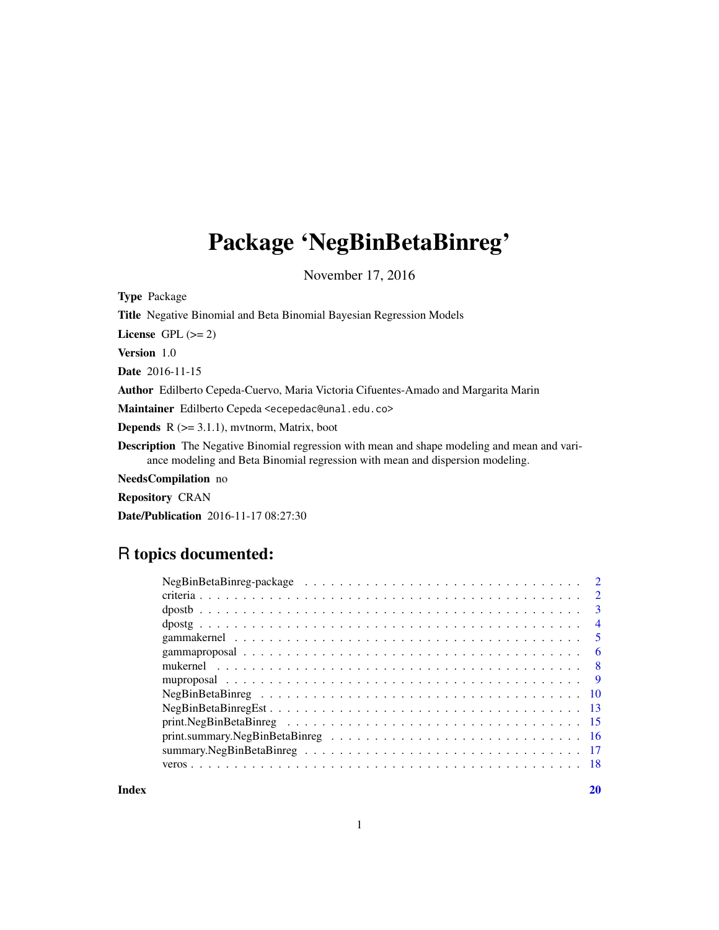# Package 'NegBinBetaBinreg'

November 17, 2016

| <b>Type Package</b>                                                                                                                                                                  |
|--------------------------------------------------------------------------------------------------------------------------------------------------------------------------------------|
| <b>Title</b> Negative Binomial and Beta Binomial Bayesian Regression Models                                                                                                          |
| License $GPL (= 2)$                                                                                                                                                                  |
| <b>Version</b> 1.0                                                                                                                                                                   |
| <b>Date</b> 2016-11-15                                                                                                                                                               |
| <b>Author</b> Edilberto Cepeda-Cuervo, Maria Victoria Cifuentes-Amado and Margarita Marin                                                                                            |
| Maintainer Edilberto Cepeda <ecepedac@unal.edu.co></ecepedac@unal.edu.co>                                                                                                            |
| <b>Depends</b> $R$ ( $>= 3.1.1$ ), mythorm, Matrix, boot                                                                                                                             |
| <b>Description</b> The Negative Binomial regression with mean and shape modeling and mean and vari-<br>ance modeling and Beta Binomial regression with mean and dispersion modeling. |
| <b>NeedsCompilation</b> no                                                                                                                                                           |
| <b>Repository CRAN</b>                                                                                                                                                               |

Date/Publication 2016-11-17 08:27:30

## R topics documented:

| $NegBinBetaB$ <i>inreg-package</i>                                                                 |  |  |  |                         |
|----------------------------------------------------------------------------------------------------|--|--|--|-------------------------|
|                                                                                                    |  |  |  | $\mathcal{D}_{\cdot}$   |
|                                                                                                    |  |  |  | $\mathcal{E}$           |
|                                                                                                    |  |  |  | $\overline{4}$          |
|                                                                                                    |  |  |  | $\overline{\mathbf{5}}$ |
|                                                                                                    |  |  |  | -6                      |
|                                                                                                    |  |  |  | - 8                     |
|                                                                                                    |  |  |  | - 9                     |
|                                                                                                    |  |  |  |                         |
| $NegBinBetaBinregEst \ldots \ldots \ldots \ldots \ldots \ldots \ldots \ldots \ldots \ldots \ldots$ |  |  |  |                         |
| $print.NegBinBetaB, \ldots, \ldots, \ldots, \ldots, \ldots, \ldots, \ldots, \ldots, 15$            |  |  |  |                         |
|                                                                                                    |  |  |  |                         |
|                                                                                                    |  |  |  |                         |
|                                                                                                    |  |  |  |                         |
|                                                                                                    |  |  |  |                         |

 $\bf 1$ ndex  $\bf 20$  $\bf 20$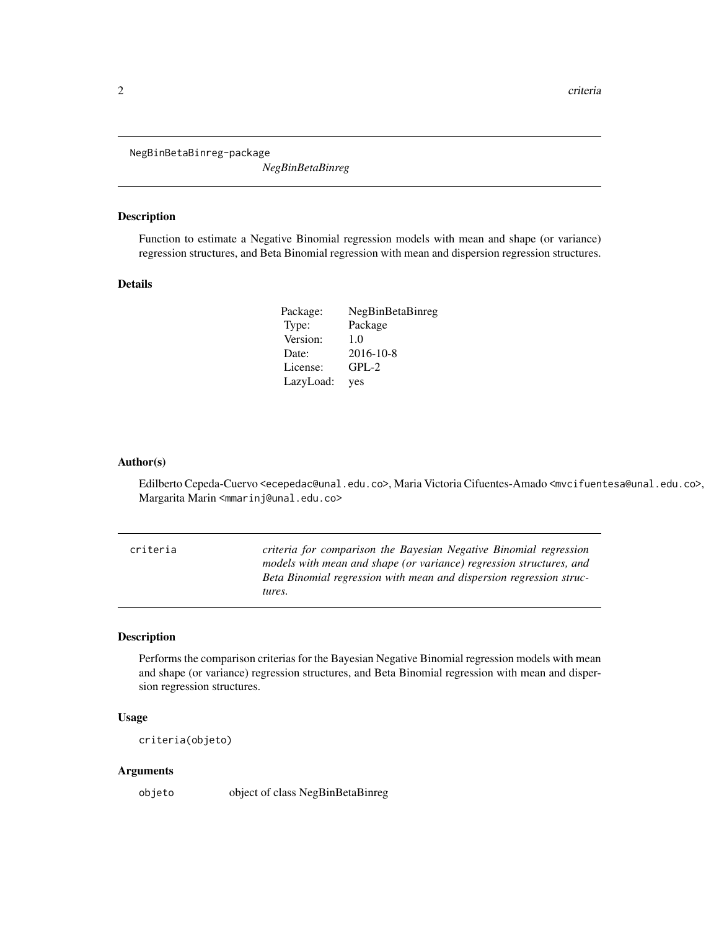<span id="page-1-0"></span>NegBinBetaBinreg-package

*NegBinBetaBinreg*

## Description

Function to estimate a Negative Binomial regression models with mean and shape (or variance) regression structures, and Beta Binomial regression with mean and dispersion regression structures.

## Details

| Package:  | NegBinBetaBinreg |
|-----------|------------------|
| Type:     | Package          |
| Version:  | 1.0              |
| Date:     | 2016-10-8        |
| License:  | $GPL-2$          |
| LazyLoad: | yes              |

#### Author(s)

Edilberto Cepeda-Cuervo <ecepedac@unal.edu.co>, Maria Victoria Cifuentes-Amado <mvcifuentesa@unal.edu.co>, Margarita Marin <mmarinj@unal.edu.co>

criteria *criteria for comparison the Bayesian Negative Binomial regression models with mean and shape (or variance) regression structures, and Beta Binomial regression with mean and dispersion regression structures.*

## Description

Performs the comparison criterias for the Bayesian Negative Binomial regression models with mean and shape (or variance) regression structures, and Beta Binomial regression with mean and dispersion regression structures.

## Usage

criteria(objeto)

#### Arguments

objeto object of class NegBinBetaBinreg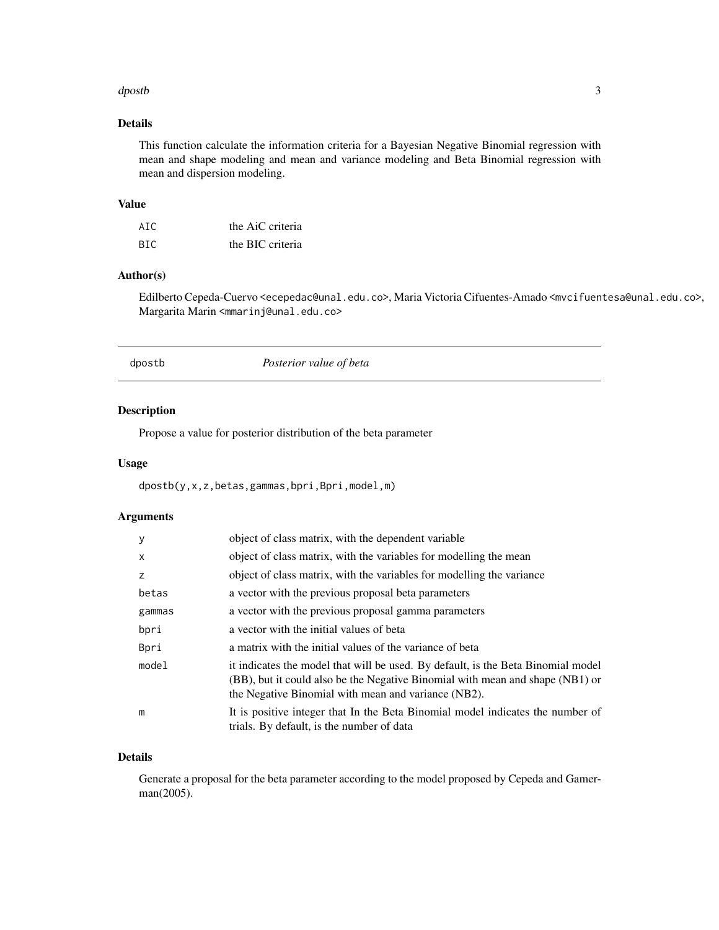#### <span id="page-2-0"></span>dpostb 3

## Details

This function calculate the information criteria for a Bayesian Negative Binomial regression with mean and shape modeling and mean and variance modeling and Beta Binomial regression with mean and dispersion modeling.

## Value

| AIC  | the AiC criteria |
|------|------------------|
| BTC. | the BIC criteria |

## Author(s)

Edilberto Cepeda-Cuervo <ecepedac@unal.edu.co>, Maria Victoria Cifuentes-Amado <mvcifuentesa@unal.edu.co>, Margarita Marin <mmarinj@unal.edu.co>

dpostb *Posterior value of beta*

## Description

Propose a value for posterior distribution of the beta parameter

## Usage

dpostb(y,x,z,betas,gammas,bpri,Bpri,model,m)

## Arguments

| y        | object of class matrix, with the dependent variable                                                                                                                                                                      |
|----------|--------------------------------------------------------------------------------------------------------------------------------------------------------------------------------------------------------------------------|
| $\times$ | object of class matrix, with the variables for modelling the mean                                                                                                                                                        |
| z        | object of class matrix, with the variables for modelling the variance                                                                                                                                                    |
| betas    | a vector with the previous proposal beta parameters                                                                                                                                                                      |
| gammas   | a vector with the previous proposal gamma parameters                                                                                                                                                                     |
| bpri     | a vector with the initial values of beta                                                                                                                                                                                 |
| Bpri     | a matrix with the initial values of the variance of beta                                                                                                                                                                 |
| model    | it indicates the model that will be used. By default, is the Beta Binomial model<br>(BB), but it could also be the Negative Binomial with mean and shape (NB1) or<br>the Negative Binomial with mean and variance (NB2). |
| m        | It is positive integer that In the Beta Binomial model indicates the number of<br>trials. By default, is the number of data                                                                                              |

## Details

Generate a proposal for the beta parameter according to the model proposed by Cepeda and Gamerman(2005).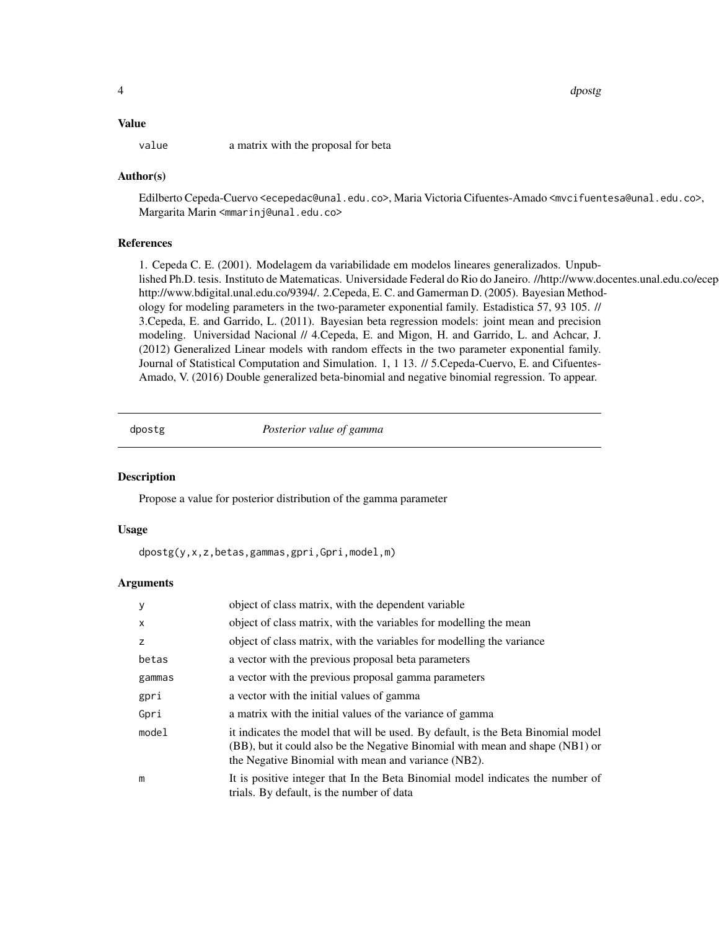<span id="page-3-0"></span>4 dpostg

## Value

value a matrix with the proposal for beta

## Author(s)

Edilberto Cepeda-Cuervo <ecepedac@unal.edu.co>, Maria Victoria Cifuentes-Amado <mvcifuentesa@unal.edu.co>, Margarita Marin <mmarinj@unal.edu.co>

## References

1. Cepeda C. E. (2001). Modelagem da variabilidade em modelos lineares generalizados. Unpublished Ph.D. tesis. Instituto de Matematicas. Universidade Federal do Rio do Janeiro. //http://www.docentes.unal.edu.co/ecep http://www.bdigital.unal.edu.co/9394/. 2.Cepeda, E. C. and Gamerman D. (2005). Bayesian Methodology for modeling parameters in the two-parameter exponential family. Estadistica 57, 93 105. // 3.Cepeda, E. and Garrido, L. (2011). Bayesian beta regression models: joint mean and precision modeling. Universidad Nacional // 4.Cepeda, E. and Migon, H. and Garrido, L. and Achcar, J. (2012) Generalized Linear models with random effects in the two parameter exponential family. Journal of Statistical Computation and Simulation. 1, 1 13. // 5.Cepeda-Cuervo, E. and Cifuentes-Amado, V. (2016) Double generalized beta-binomial and negative binomial regression. To appear.

dpostg *Posterior value of gamma*

## **Description**

Propose a value for posterior distribution of the gamma parameter

#### Usage

dpostg(y,x,z,betas,gammas,gpri,Gpri,model,m)

| y      | object of class matrix, with the dependent variable                                                                                                                                                                      |
|--------|--------------------------------------------------------------------------------------------------------------------------------------------------------------------------------------------------------------------------|
| X      | object of class matrix, with the variables for modelling the mean                                                                                                                                                        |
| z      | object of class matrix, with the variables for modelling the variance                                                                                                                                                    |
| betas  | a vector with the previous proposal beta parameters                                                                                                                                                                      |
| gammas | a vector with the previous proposal gamma parameters                                                                                                                                                                     |
| gpri   | a vector with the initial values of gamma                                                                                                                                                                                |
| Gpri   | a matrix with the initial values of the variance of gamma                                                                                                                                                                |
| model  | it indicates the model that will be used. By default, is the Beta Binomial model<br>(BB), but it could also be the Negative Binomial with mean and shape (NB1) or<br>the Negative Binomial with mean and variance (NB2). |
| m      | It is positive integer that In the Beta Binomial model indicates the number of<br>trials. By default, is the number of data                                                                                              |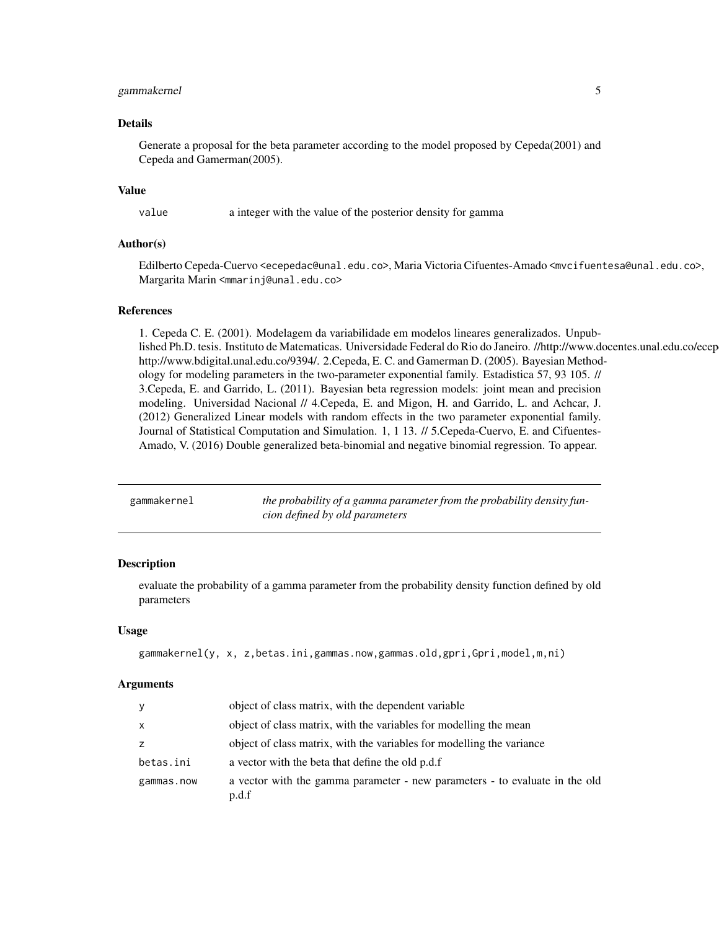## <span id="page-4-0"></span>gammakernel 5

#### Details

Generate a proposal for the beta parameter according to the model proposed by Cepeda(2001) and Cepeda and Gamerman(2005).

#### Value

value a integer with the value of the posterior density for gamma

## Author(s)

Edilberto Cepeda-Cuervo <ecepedac@unal.edu.co>, Maria Victoria Cifuentes-Amado <mvcifuentesa@unal.edu.co>, Margarita Marin <mmarinj@unal.edu.co>

## References

1. Cepeda C. E. (2001). Modelagem da variabilidade em modelos lineares generalizados. Unpublished Ph.D. tesis. Instituto de Matematicas. Universidade Federal do Rio do Janeiro. //http://www.docentes.unal.edu.co/ecep http://www.bdigital.unal.edu.co/9394/. 2.Cepeda, E. C. and Gamerman D. (2005). Bayesian Methodology for modeling parameters in the two-parameter exponential family. Estadistica 57, 93 105. // 3.Cepeda, E. and Garrido, L. (2011). Bayesian beta regression models: joint mean and precision modeling. Universidad Nacional // 4.Cepeda, E. and Migon, H. and Garrido, L. and Achcar, J. (2012) Generalized Linear models with random effects in the two parameter exponential family. Journal of Statistical Computation and Simulation. 1, 1 13. // 5.Cepeda-Cuervo, E. and Cifuentes-Amado, V. (2016) Double generalized beta-binomial and negative binomial regression. To appear.

| gammakernel | the probability of a gamma parameter from the probability density fun- |
|-------------|------------------------------------------------------------------------|
|             | cion defined by old parameters                                         |

#### **Description**

evaluate the probability of a gamma parameter from the probability density function defined by old parameters

#### Usage

```
gammakernel(y, x, z,betas.ini,gammas.now,gammas.old,gpri,Gpri,model,m,ni)
```

| У          | object of class matrix, with the dependent variable                                  |
|------------|--------------------------------------------------------------------------------------|
| X          | object of class matrix, with the variables for modelling the mean                    |
| Z.         | object of class matrix, with the variables for modelling the variance                |
| betas.ini  | a vector with the beta that define the old p.d.f                                     |
| gammas.now | a vector with the gamma parameter - new parameters - to evaluate in the old<br>p.d.f |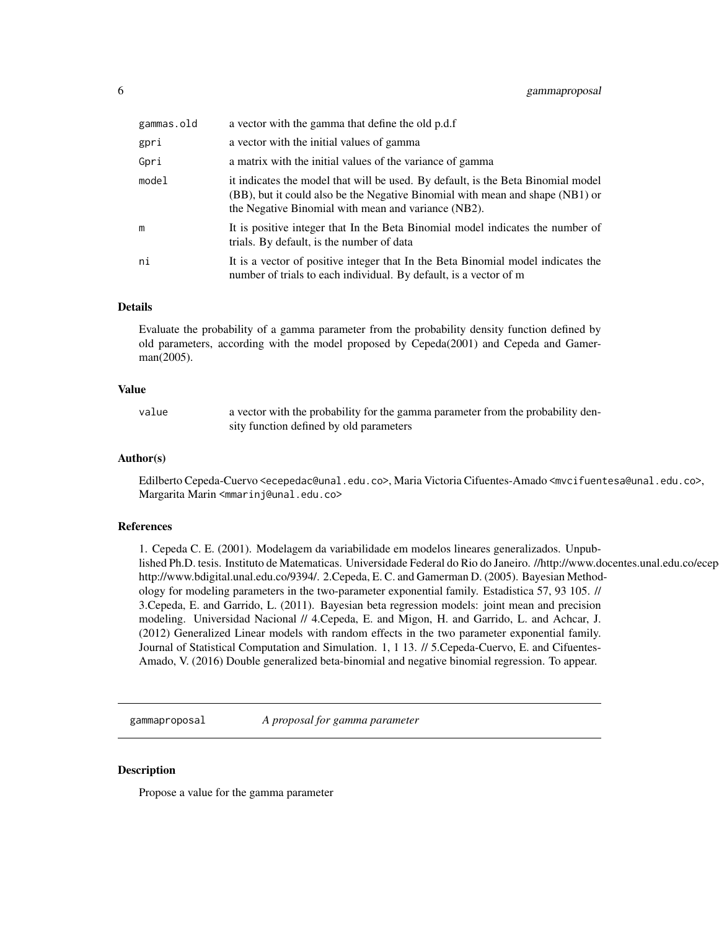<span id="page-5-0"></span>

| gammas.old | a vector with the gamma that define the old p.d.f                                                                                                                                                                        |
|------------|--------------------------------------------------------------------------------------------------------------------------------------------------------------------------------------------------------------------------|
| gpri       | a vector with the initial values of gamma                                                                                                                                                                                |
| Gpri       | a matrix with the initial values of the variance of gamma                                                                                                                                                                |
| model      | it indicates the model that will be used. By default, is the Beta Binomial model<br>(BB), but it could also be the Negative Binomial with mean and shape (NB1) or<br>the Negative Binomial with mean and variance (NB2). |
| m          | It is positive integer that In the Beta Binomial model indicates the number of<br>trials. By default, is the number of data                                                                                              |
| ni         | It is a vector of positive integer that In the Beta Binomial model indicates the<br>number of trials to each individual. By default, is a vector of m                                                                    |

#### Details

Evaluate the probability of a gamma parameter from the probability density function defined by old parameters, according with the model proposed by Cepeda(2001) and Cepeda and Gamerman(2005).

#### Value

value a vector with the probability for the gamma parameter from the probability density function defined by old parameters

## Author(s)

Edilberto Cepeda-Cuervo <ecepedac@unal.edu.co>, Maria Victoria Cifuentes-Amado <mvcifuentesa@unal.edu.co>, Margarita Marin <mmarinj@unal.edu.co>

#### References

1. Cepeda C. E. (2001). Modelagem da variabilidade em modelos lineares generalizados. Unpublished Ph.D. tesis. Instituto de Matematicas. Universidade Federal do Rio do Janeiro. //http://www.docentes.unal.edu.co/ecep http://www.bdigital.unal.edu.co/9394/. 2.Cepeda, E. C. and Gamerman D. (2005). Bayesian Methodology for modeling parameters in the two-parameter exponential family. Estadistica 57, 93 105. // 3.Cepeda, E. and Garrido, L. (2011). Bayesian beta regression models: joint mean and precision modeling. Universidad Nacional // 4.Cepeda, E. and Migon, H. and Garrido, L. and Achcar, J. (2012) Generalized Linear models with random effects in the two parameter exponential family. Journal of Statistical Computation and Simulation. 1, 1 13. // 5.Cepeda-Cuervo, E. and Cifuentes-Amado, V. (2016) Double generalized beta-binomial and negative binomial regression. To appear.

gammaproposal *A proposal for gamma parameter*

## **Description**

Propose a value for the gamma parameter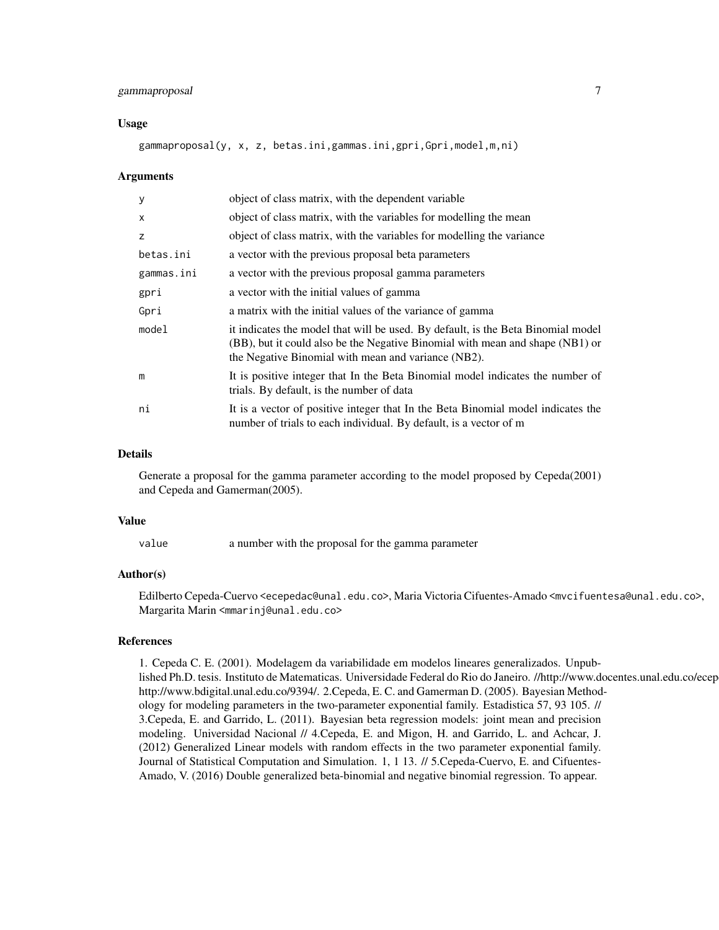## gammaproposal 7

#### Usage

gammaproposal(y, x, z, betas.ini,gammas.ini,gpri,Gpri,model,m,ni)

#### Arguments

| У          | object of class matrix, with the dependent variable                                                                                                                                                                      |
|------------|--------------------------------------------------------------------------------------------------------------------------------------------------------------------------------------------------------------------------|
| $\times$   | object of class matrix, with the variables for modelling the mean                                                                                                                                                        |
| z          | object of class matrix, with the variables for modelling the variance                                                                                                                                                    |
| betas.ini  | a vector with the previous proposal beta parameters                                                                                                                                                                      |
| gammas.ini | a vector with the previous proposal gamma parameters                                                                                                                                                                     |
| gpri       | a vector with the initial values of gamma                                                                                                                                                                                |
| Gpri       | a matrix with the initial values of the variance of gamma                                                                                                                                                                |
| model      | it indicates the model that will be used. By default, is the Beta Binomial model<br>(BB), but it could also be the Negative Binomial with mean and shape (NB1) or<br>the Negative Binomial with mean and variance (NB2). |
| m          | It is positive integer that In the Beta Binomial model indicates the number of<br>trials. By default, is the number of data                                                                                              |
| ni         | It is a vector of positive integer that In the Beta Binomial model indicates the<br>number of trials to each individual. By default, is a vector of m                                                                    |

## Details

Generate a proposal for the gamma parameter according to the model proposed by Cepeda(2001) and Cepeda and Gamerman(2005).

#### Value

value a number with the proposal for the gamma parameter

## Author(s)

Edilberto Cepeda-Cuervo <ecepedac@unal.edu.co>, Maria Victoria Cifuentes-Amado <mvcifuentesa@unal.edu.co>, Margarita Marin <mmarinj@unal.edu.co>

## References

1. Cepeda C. E. (2001). Modelagem da variabilidade em modelos lineares generalizados. Unpublished Ph.D. tesis. Instituto de Matematicas. Universidade Federal do Rio do Janeiro. //http://www.docentes.unal.edu.co/ecep http://www.bdigital.unal.edu.co/9394/. 2.Cepeda, E. C. and Gamerman D. (2005). Bayesian Methodology for modeling parameters in the two-parameter exponential family. Estadistica 57, 93 105. // 3.Cepeda, E. and Garrido, L. (2011). Bayesian beta regression models: joint mean and precision modeling. Universidad Nacional // 4.Cepeda, E. and Migon, H. and Garrido, L. and Achcar, J. (2012) Generalized Linear models with random effects in the two parameter exponential family. Journal of Statistical Computation and Simulation. 1, 1 13. // 5.Cepeda-Cuervo, E. and Cifuentes-Amado, V. (2016) Double generalized beta-binomial and negative binomial regression. To appear.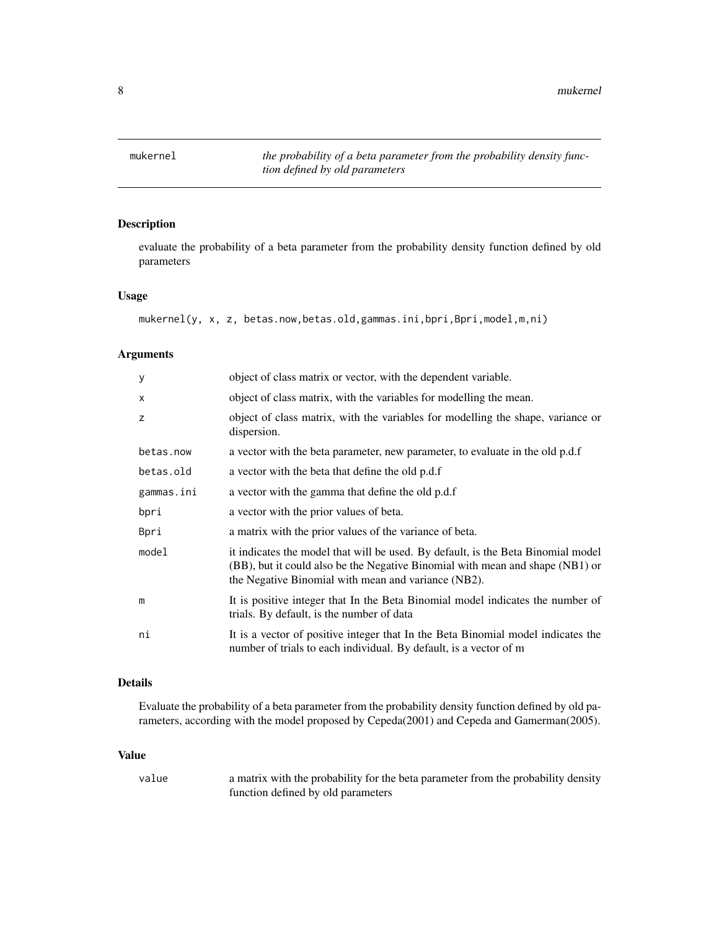<span id="page-7-0"></span>

## Description

evaluate the probability of a beta parameter from the probability density function defined by old parameters

## Usage

```
mukernel(y, x, z, betas.now,betas.old,gammas.ini,bpri,Bpri,model,m,ni)
```
## Arguments

| У          | object of class matrix or vector, with the dependent variable.                                                                                                                                                           |
|------------|--------------------------------------------------------------------------------------------------------------------------------------------------------------------------------------------------------------------------|
| X          | object of class matrix, with the variables for modelling the mean.                                                                                                                                                       |
| z          | object of class matrix, with the variables for modelling the shape, variance or<br>dispersion.                                                                                                                           |
| betas.now  | a vector with the beta parameter, new parameter, to evaluate in the old p.d.f                                                                                                                                            |
| betas.old  | a vector with the beta that define the old p.d.f                                                                                                                                                                         |
| gammas.ini | a vector with the gamma that define the old p.d.f                                                                                                                                                                        |
| bpri       | a vector with the prior values of beta.                                                                                                                                                                                  |
| Bpri       | a matrix with the prior values of the variance of beta.                                                                                                                                                                  |
| model      | it indicates the model that will be used. By default, is the Beta Binomial model<br>(BB), but it could also be the Negative Binomial with mean and shape (NB1) or<br>the Negative Binomial with mean and variance (NB2). |
| m          | It is positive integer that In the Beta Binomial model indicates the number of<br>trials. By default, is the number of data                                                                                              |
| ni         | It is a vector of positive integer that In the Beta Binomial model indicates the<br>number of trials to each individual. By default, is a vector of m                                                                    |

## Details

Evaluate the probability of a beta parameter from the probability density function defined by old parameters, according with the model proposed by Cepeda(2001) and Cepeda and Gamerman(2005).

## Value

value a matrix with the probability for the beta parameter from the probability density function defined by old parameters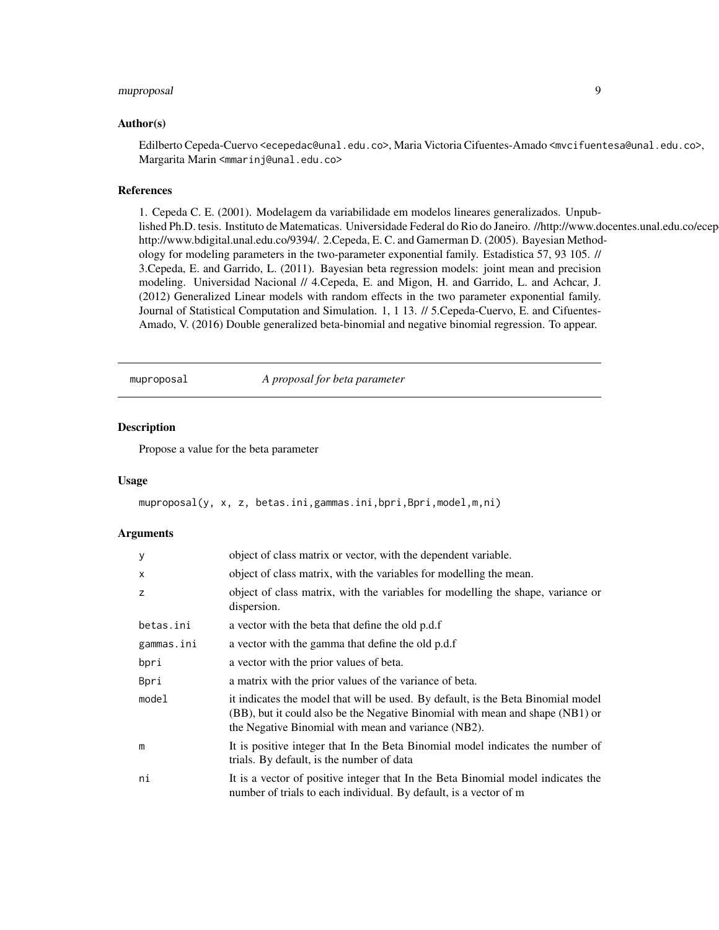## <span id="page-8-0"></span>muproposal 9

#### Author(s)

Edilberto Cepeda-Cuervo <ecepedac@unal.edu.co>, Maria Victoria Cifuentes-Amado <mvcifuentesa@unal.edu.co>, Margarita Marin <mmarinj@unal.edu.co>

## References

1. Cepeda C. E. (2001). Modelagem da variabilidade em modelos lineares generalizados. Unpublished Ph.D. tesis. Instituto de Matematicas. Universidade Federal do Rio do Janeiro. //http://www.docentes.unal.edu.co/ecep http://www.bdigital.unal.edu.co/9394/. 2.Cepeda, E. C. and Gamerman D. (2005). Bayesian Methodology for modeling parameters in the two-parameter exponential family. Estadistica 57, 93 105. // 3.Cepeda, E. and Garrido, L. (2011). Bayesian beta regression models: joint mean and precision modeling. Universidad Nacional // 4.Cepeda, E. and Migon, H. and Garrido, L. and Achcar, J. (2012) Generalized Linear models with random effects in the two parameter exponential family. Journal of Statistical Computation and Simulation. 1, 1 13. // 5.Cepeda-Cuervo, E. and Cifuentes-Amado, V. (2016) Double generalized beta-binomial and negative binomial regression. To appear.

muproposal *A proposal for beta parameter*

## Description

Propose a value for the beta parameter

#### Usage

muproposal(y, x, z, betas.ini,gammas.ini,bpri,Bpri,model,m,ni)

| У          | object of class matrix or vector, with the dependent variable.                                                                                                                                                           |
|------------|--------------------------------------------------------------------------------------------------------------------------------------------------------------------------------------------------------------------------|
| x          | object of class matrix, with the variables for modelling the mean.                                                                                                                                                       |
| z          | object of class matrix, with the variables for modelling the shape, variance or<br>dispersion.                                                                                                                           |
| betas.ini  | a vector with the beta that define the old p.d.f                                                                                                                                                                         |
| gammas.ini | a vector with the gamma that define the old p.d.f                                                                                                                                                                        |
| bpri       | a vector with the prior values of beta.                                                                                                                                                                                  |
| Bpri       | a matrix with the prior values of the variance of beta.                                                                                                                                                                  |
| model      | it indicates the model that will be used. By default, is the Beta Binomial model<br>(BB), but it could also be the Negative Binomial with mean and shape (NB1) or<br>the Negative Binomial with mean and variance (NB2). |
| m          | It is positive integer that In the Beta Binomial model indicates the number of<br>trials. By default, is the number of data                                                                                              |
| ni         | It is a vector of positive integer that In the Beta Binomial model indicates the<br>number of trials to each individual. By default, is a vector of m                                                                    |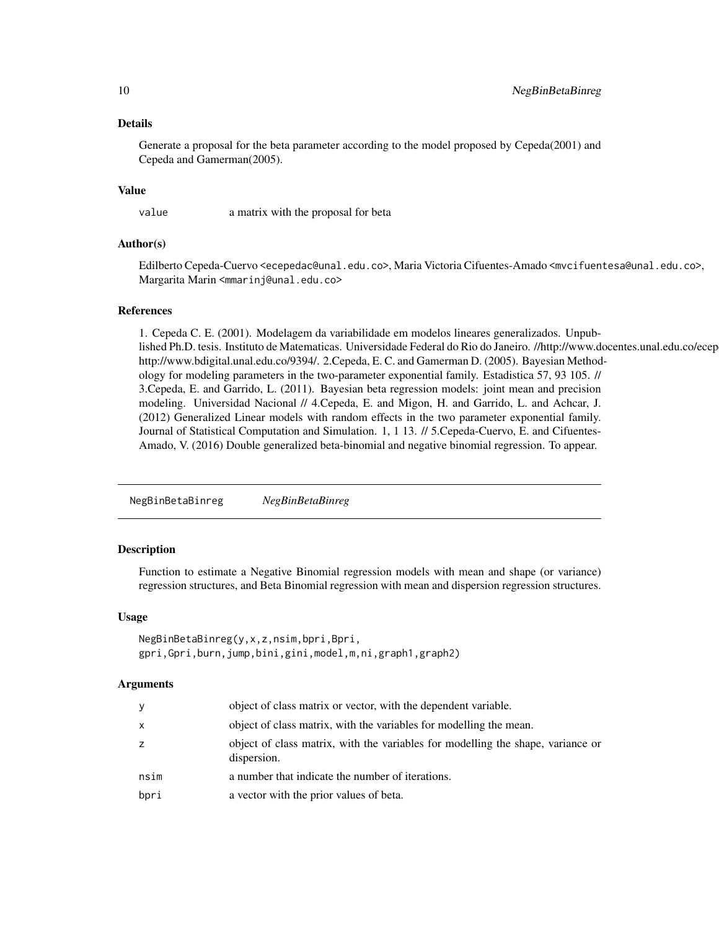## Details

Generate a proposal for the beta parameter according to the model proposed by Cepeda(2001) and Cepeda and Gamerman(2005).

### Value

value a matrix with the proposal for beta

## Author(s)

Edilberto Cepeda-Cuervo <ecepedac@unal.edu.co>, Maria Victoria Cifuentes-Amado <mvcifuentesa@unal.edu.co>, Margarita Marin <mmarinj@unal.edu.co>

## References

1. Cepeda C. E. (2001). Modelagem da variabilidade em modelos lineares generalizados. Unpublished Ph.D. tesis. Instituto de Matematicas. Universidade Federal do Rio do Janeiro. //http://www.docentes.unal.edu.co/ecep http://www.bdigital.unal.edu.co/9394/. 2.Cepeda, E. C. and Gamerman D. (2005). Bayesian Methodology for modeling parameters in the two-parameter exponential family. Estadistica 57, 93 105. // 3.Cepeda, E. and Garrido, L. (2011). Bayesian beta regression models: joint mean and precision modeling. Universidad Nacional // 4.Cepeda, E. and Migon, H. and Garrido, L. and Achcar, J. (2012) Generalized Linear models with random effects in the two parameter exponential family. Journal of Statistical Computation and Simulation. 1, 1 13. // 5.Cepeda-Cuervo, E. and Cifuentes-Amado, V. (2016) Double generalized beta-binomial and negative binomial regression. To appear.

NegBinBetaBinreg *NegBinBetaBinreg*

## Description

Function to estimate a Negative Binomial regression models with mean and shape (or variance) regression structures, and Beta Binomial regression with mean and dispersion regression structures.

## Usage

```
NegBinBetaBinreg(y,x,z,nsim,bpri,Bpri,
gpri,Gpri,burn,jump,bini,gini,model,m,ni,graph1,graph2)
```

| y    | object of class matrix or vector, with the dependent variable.                                 |
|------|------------------------------------------------------------------------------------------------|
| X    | object of class matrix, with the variables for modelling the mean.                             |
| Z    | object of class matrix, with the variables for modelling the shape, variance or<br>dispersion. |
| nsim | a number that indicate the number of iterations.                                               |
| bpri | a vector with the prior values of beta.                                                        |

<span id="page-9-0"></span>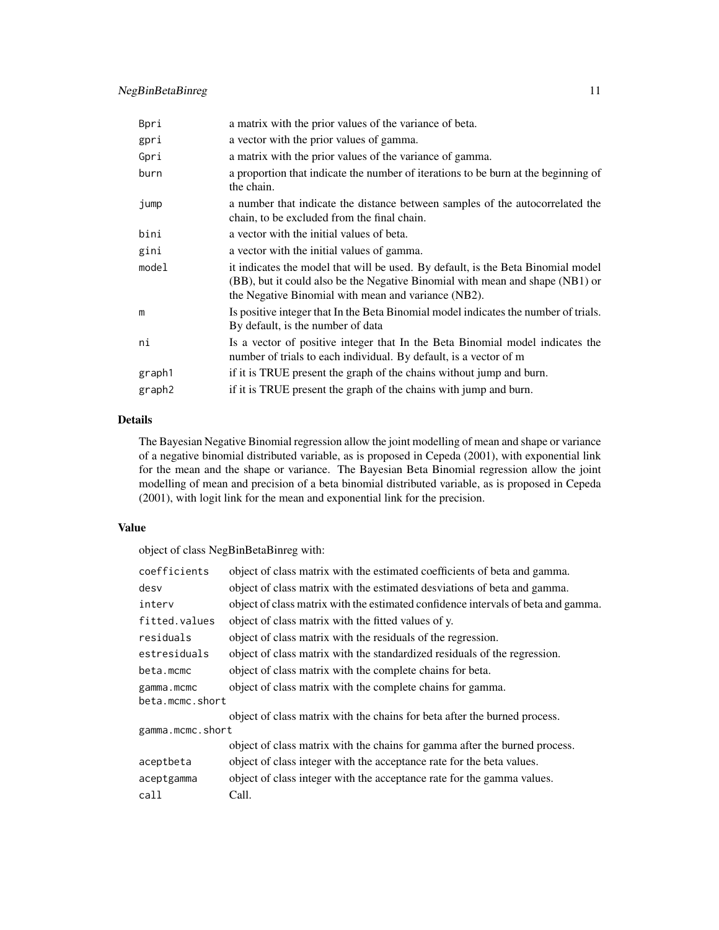| Bpri   | a matrix with the prior values of the variance of beta.                                                                                                                                                                  |
|--------|--------------------------------------------------------------------------------------------------------------------------------------------------------------------------------------------------------------------------|
| gpri   | a vector with the prior values of gamma.                                                                                                                                                                                 |
| Gpri   | a matrix with the prior values of the variance of gamma.                                                                                                                                                                 |
| burn   | a proportion that indicate the number of iterations to be burn at the beginning of<br>the chain.                                                                                                                         |
| jump   | a number that indicate the distance between samples of the autocorrelated the<br>chain, to be excluded from the final chain.                                                                                             |
| bini   | a vector with the initial values of beta.                                                                                                                                                                                |
| gini   | a vector with the initial values of gamma.                                                                                                                                                                               |
| model  | it indicates the model that will be used. By default, is the Beta Binomial model<br>(BB), but it could also be the Negative Binomial with mean and shape (NB1) or<br>the Negative Binomial with mean and variance (NB2). |
| m      | Is positive integer that In the Beta Binomial model indicates the number of trials.<br>By default, is the number of data                                                                                                 |
| ni     | Is a vector of positive integer that In the Beta Binomial model indicates the<br>number of trials to each individual. By default, is a vector of m                                                                       |
| graph1 | if it is TRUE present the graph of the chains without jump and burn.                                                                                                                                                     |
| graph2 | if it is TRUE present the graph of the chains with jump and burn.                                                                                                                                                        |

## Details

The Bayesian Negative Binomial regression allow the joint modelling of mean and shape or variance of a negative binomial distributed variable, as is proposed in Cepeda (2001), with exponential link for the mean and the shape or variance. The Bayesian Beta Binomial regression allow the joint modelling of mean and precision of a beta binomial distributed variable, as is proposed in Cepeda (2001), with logit link for the mean and exponential link for the precision.

## Value

object of class NegBinBetaBinreg with:

| coefficients     | object of class matrix with the estimated coefficients of beta and gamma.         |  |
|------------------|-----------------------------------------------------------------------------------|--|
| desv             | object of class matrix with the estimated desviations of beta and gamma.          |  |
| interv           | object of class matrix with the estimated confidence intervals of beta and gamma. |  |
| fitted.values    | object of class matrix with the fitted values of y.                               |  |
| residuals        | object of class matrix with the residuals of the regression.                      |  |
| estresiduals     | object of class matrix with the standardized residuals of the regression.         |  |
| beta.mcmc        | object of class matrix with the complete chains for beta.                         |  |
| gamma.mcmc       | object of class matrix with the complete chains for gamma.                        |  |
| beta.mcmc.short  |                                                                                   |  |
|                  | object of class matrix with the chains for beta after the burned process.         |  |
| gamma.mcmc.short |                                                                                   |  |
|                  | object of class matrix with the chains for gamma after the burned process.        |  |
| aceptbeta        | object of class integer with the acceptance rate for the beta values.             |  |
| aceptgamma       | object of class integer with the acceptance rate for the gamma values.            |  |
| call             | Call.                                                                             |  |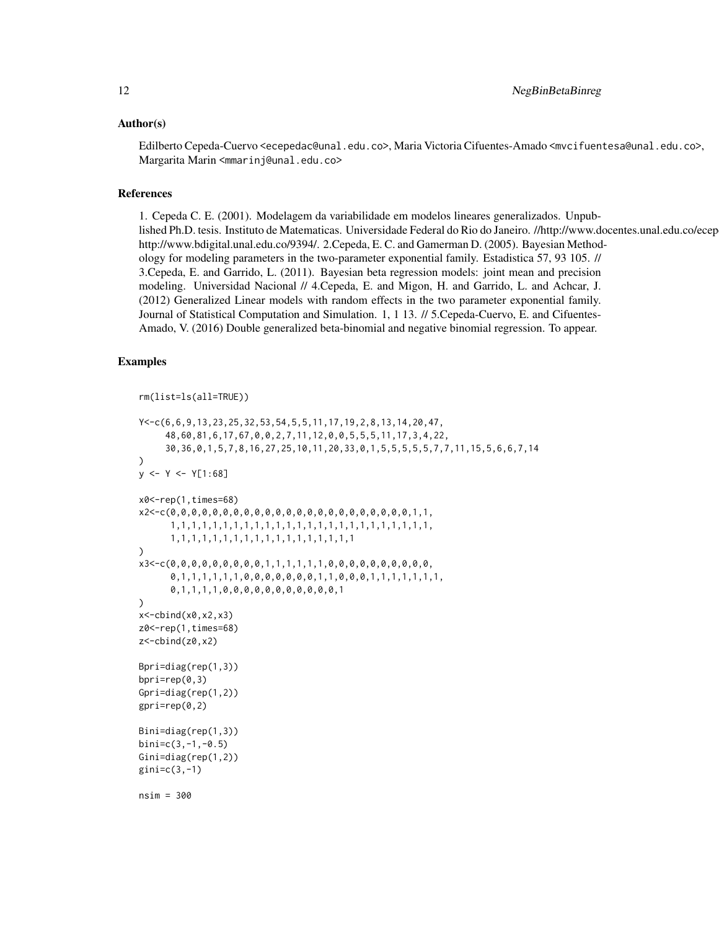## Author(s)

Edilberto Cepeda-Cuervo <ecepedac@unal.edu.co>, Maria Victoria Cifuentes-Amado <mvcifuentesa@unal.edu.co>, Margarita Marin <mmarinj@unal.edu.co>

## References

1. Cepeda C. E. (2001). Modelagem da variabilidade em modelos lineares generalizados. Unpublished Ph.D. tesis. Instituto de Matematicas. Universidade Federal do Rio do Janeiro. //http://www.docentes.unal.edu.co/ecep http://www.bdigital.unal.edu.co/9394/. 2.Cepeda, E. C. and Gamerman D. (2005). Bayesian Methodology for modeling parameters in the two-parameter exponential family. Estadistica 57, 93 105. // 3.Cepeda, E. and Garrido, L. (2011). Bayesian beta regression models: joint mean and precision modeling. Universidad Nacional // 4.Cepeda, E. and Migon, H. and Garrido, L. and Achcar, J. (2012) Generalized Linear models with random effects in the two parameter exponential family. Journal of Statistical Computation and Simulation. 1, 1 13. // 5.Cepeda-Cuervo, E. and Cifuentes-Amado, V. (2016) Double generalized beta-binomial and negative binomial regression. To appear.

## Examples

```
rm(list=ls(all=TRUE))
```

```
Y<-c(6,6,9,13,23,25,32,53,54,5,5,11,17,19,2,8,13,14,20,47,
     48,60,81,6,17,67,0,0,2,7,11,12,0,0,5,5,5,11,17,3,4,22,
     30,36,0,1,5,7,8,16,27,25,10,11,20,33,0,1,5,5,5,5,5,7,7,11,15,5,6,6,7,14
)
y \le -Y \le -Y[1:68]x0<-rep(1,times=68)
x2<-c(0,0,0,0,0,0,0,0,0,0,0,0,0,0,0,0,0,0,0,0,0,0,0,1,1,
      1,1,1,1,1,1,1,1,1,1,1,1,1,1,1,1,1,1,1,1,1,1,1,1,1,
      1,1,1,1,1,1,1,1,1,1,1,1,1,1,1,1,1,1
)
x3<-c(0,0,0,0,0,0,0,0,0,1,1,1,1,1,1,0,0,0,0,0,0,0,0,0,0,
      0,1,1,1,1,1,1,0,0,0,0,0,0,0,1,1,0,0,0,1,1,1,1,1,1,1,1,
      0,1,1,1,1,0,0,0,0,0,0,0,0,0,0,0,1
)
x < -cbind(x0, x2, x3)z0<-rep(1,times=68)
z<-cbind(z0,x2)
Bpri=diag(rep(1,3))
bpri=rep(0,3)
Gpri=diag(rep(1,2))
gpri=rep(0,2)
Bini=diag(rep(1,3))
binic(3,-1,-0.5)Gini=diag(rep(1,2))
gini=c(3,-1)
nsim = 300
```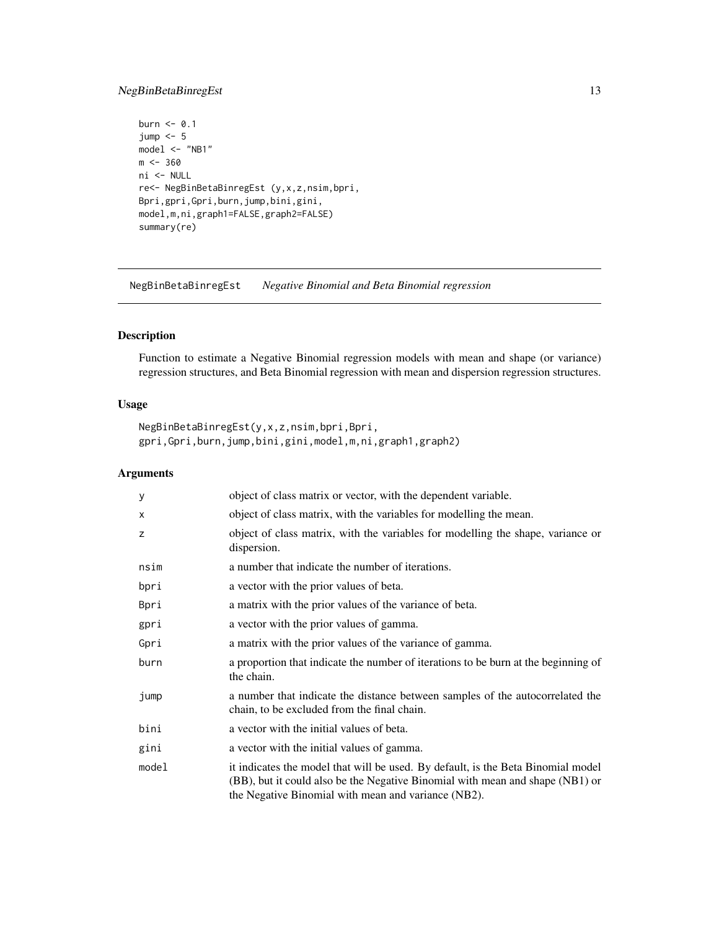## <span id="page-12-0"></span>NegBinBetaBinregEst 13

```
burn <- 0.1
jump < -5model <- "NB1"
m < -360ni <- NULL
re<- NegBinBetaBinregEst (y,x,z,nsim,bpri,
Bpri,gpri,Gpri,burn,jump,bini,gini,
model,m,ni,graph1=FALSE,graph2=FALSE)
summary(re)
```
NegBinBetaBinregEst *Negative Binomial and Beta Binomial regression*

## Description

Function to estimate a Negative Binomial regression models with mean and shape (or variance) regression structures, and Beta Binomial regression with mean and dispersion regression structures.

## Usage

```
NegBinBetaBinregEst(y,x,z,nsim,bpri,Bpri,
gpri,Gpri,burn,jump,bini,gini,model,m,ni,graph1,graph2)
```

| У     | object of class matrix or vector, with the dependent variable.                                                                                                                                                           |
|-------|--------------------------------------------------------------------------------------------------------------------------------------------------------------------------------------------------------------------------|
| X     | object of class matrix, with the variables for modelling the mean.                                                                                                                                                       |
| z     | object of class matrix, with the variables for modelling the shape, variance or<br>dispersion.                                                                                                                           |
| nsim  | a number that indicate the number of iterations.                                                                                                                                                                         |
| bpri  | a vector with the prior values of beta.                                                                                                                                                                                  |
| Bpri  | a matrix with the prior values of the variance of beta.                                                                                                                                                                  |
| gpri  | a vector with the prior values of gamma.                                                                                                                                                                                 |
| Gpri  | a matrix with the prior values of the variance of gamma.                                                                                                                                                                 |
| burn  | a proportion that indicate the number of iterations to be burn at the beginning of<br>the chain.                                                                                                                         |
| jump  | a number that indicate the distance between samples of the autocorrelated the<br>chain, to be excluded from the final chain.                                                                                             |
| bini  | a vector with the initial values of beta.                                                                                                                                                                                |
| gini  | a vector with the initial values of gamma.                                                                                                                                                                               |
| model | it indicates the model that will be used. By default, is the Beta Binomial model<br>(BB), but it could also be the Negative Binomial with mean and shape (NB1) or<br>the Negative Binomial with mean and variance (NB2). |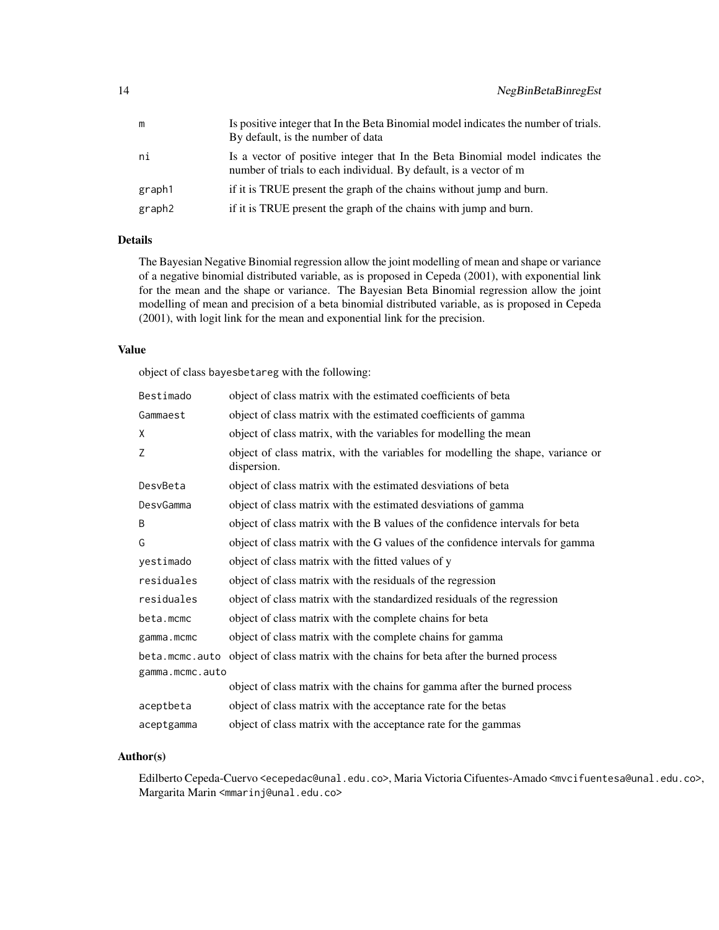| m      | Is positive integer that In the Beta Binomial model indicates the number of trials.<br>By default, is the number of data                           |
|--------|----------------------------------------------------------------------------------------------------------------------------------------------------|
| ni     | Is a vector of positive integer that In the Beta Binomial model indicates the<br>number of trials to each individual. By default, is a vector of m |
| graph1 | if it is TRUE present the graph of the chains without jump and burn.                                                                               |
| graph2 | if it is TRUE present the graph of the chains with jump and burn.                                                                                  |

## Details

The Bayesian Negative Binomial regression allow the joint modelling of mean and shape or variance of a negative binomial distributed variable, as is proposed in Cepeda (2001), with exponential link for the mean and the shape or variance. The Bayesian Beta Binomial regression allow the joint modelling of mean and precision of a beta binomial distributed variable, as is proposed in Cepeda (2001), with logit link for the mean and exponential link for the precision.

## Value

object of class bayesbetareg with the following:

| Bestimado       | object of class matrix with the estimated coefficients of beta                                 |
|-----------------|------------------------------------------------------------------------------------------------|
| Gammaest        | object of class matrix with the estimated coefficients of gamma                                |
| X               | object of class matrix, with the variables for modelling the mean                              |
| Ζ               | object of class matrix, with the variables for modelling the shape, variance or<br>dispersion. |
| DesvBeta        | object of class matrix with the estimated desviations of beta                                  |
| DesvGamma       | object of class matrix with the estimated desviations of gamma                                 |
| B               | object of class matrix with the B values of the confidence intervals for beta                  |
| G               | object of class matrix with the G values of the confidence intervals for gamma                 |
| yestimado       | object of class matrix with the fitted values of y                                             |
| residuales      | object of class matrix with the residuals of the regression                                    |
| residuales      | object of class matrix with the standardized residuals of the regression                       |
| beta.mcmc       | object of class matrix with the complete chains for beta                                       |
| gamma.mcmc      | object of class matrix with the complete chains for gamma                                      |
| beta.mcmc.auto  | object of class matrix with the chains for beta after the burned process                       |
| gamma.mcmc.auto |                                                                                                |
|                 | object of class matrix with the chains for gamma after the burned process                      |
| aceptbeta       | object of class matrix with the acceptance rate for the betas                                  |
| aceptgamma      | object of class matrix with the acceptance rate for the gammas                                 |

## Author(s)

Edilberto Cepeda-Cuervo <ecepedac@unal.edu.co>, Maria Victoria Cifuentes-Amado <mvcifuentesa@unal.edu.co>, Margarita Marin <mmarinj@unal.edu.co>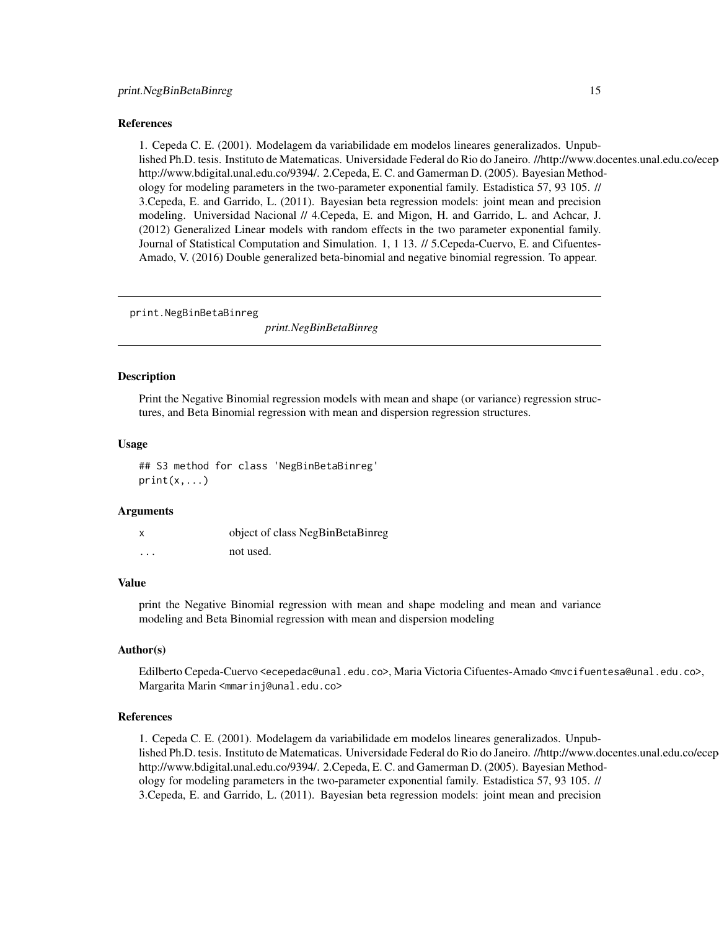## <span id="page-14-0"></span>References

1. Cepeda C. E. (2001). Modelagem da variabilidade em modelos lineares generalizados. Unpublished Ph.D. tesis. Instituto de Matematicas. Universidade Federal do Rio do Janeiro. //http://www.docentes.unal.edu.co/ecep http://www.bdigital.unal.edu.co/9394/. 2.Cepeda, E. C. and Gamerman D. (2005). Bayesian Methodology for modeling parameters in the two-parameter exponential family. Estadistica 57, 93 105. // 3.Cepeda, E. and Garrido, L. (2011). Bayesian beta regression models: joint mean and precision modeling. Universidad Nacional // 4.Cepeda, E. and Migon, H. and Garrido, L. and Achcar, J. (2012) Generalized Linear models with random effects in the two parameter exponential family. Journal of Statistical Computation and Simulation. 1, 1 13. // 5.Cepeda-Cuervo, E. and Cifuentes-Amado, V. (2016) Double generalized beta-binomial and negative binomial regression. To appear.

print.NegBinBetaBinreg

*print.NegBinBetaBinreg*

## **Description**

Print the Negative Binomial regression models with mean and shape (or variance) regression structures, and Beta Binomial regression with mean and dispersion regression structures.

## Usage

## S3 method for class 'NegBinBetaBinreg'  $print(x, \ldots)$ 

#### Arguments

| X        | object of class NegBinBetaBinreg |
|----------|----------------------------------|
| $\cdots$ | not used.                        |

## Value

print the Negative Binomial regression with mean and shape modeling and mean and variance modeling and Beta Binomial regression with mean and dispersion modeling

#### Author(s)

Edilberto Cepeda-Cuervo <ecepedac@unal.edu.co>, Maria Victoria Cifuentes-Amado <mvcifuentesa@unal.edu.co>, Margarita Marin <mmarinj@unal.edu.co>

## References

1. Cepeda C. E. (2001). Modelagem da variabilidade em modelos lineares generalizados. Unpublished Ph.D. tesis. Instituto de Matematicas. Universidade Federal do Rio do Janeiro. //http://www.docentes.unal.edu.co/ecep http://www.bdigital.unal.edu.co/9394/. 2.Cepeda, E. C. and Gamerman D. (2005). Bayesian Methodology for modeling parameters in the two-parameter exponential family. Estadistica 57, 93 105. // 3.Cepeda, E. and Garrido, L. (2011). Bayesian beta regression models: joint mean and precision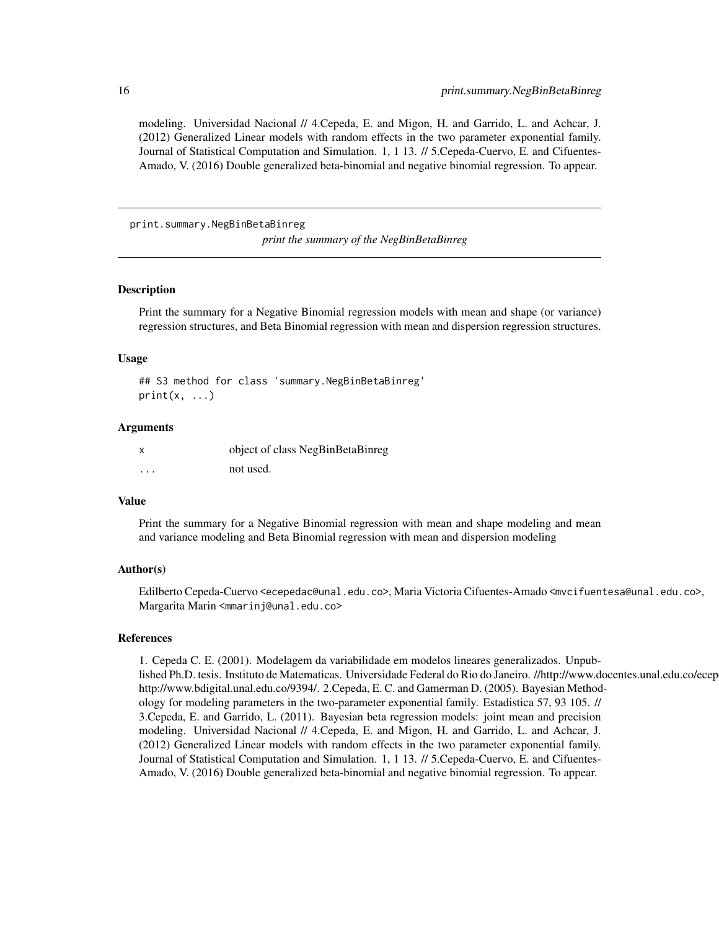<span id="page-15-0"></span>modeling. Universidad Nacional // 4.Cepeda, E. and Migon, H. and Garrido, L. and Achcar, J. (2012) Generalized Linear models with random effects in the two parameter exponential family. Journal of Statistical Computation and Simulation. 1, 1 13. // 5.Cepeda-Cuervo, E. and Cifuentes-Amado, V. (2016) Double generalized beta-binomial and negative binomial regression. To appear.

print.summary.NegBinBetaBinreg

*print the summary of the NegBinBetaBinreg*

## Description

Print the summary for a Negative Binomial regression models with mean and shape (or variance) regression structures, and Beta Binomial regression with mean and dispersion regression structures.

#### Usage

## S3 method for class 'summary.NegBinBetaBinreg'  $print(x, \ldots)$ 

#### Arguments

|          | object of class NegBinBetaBinreg |
|----------|----------------------------------|
| $\cdots$ | not used.                        |

#### Value

Print the summary for a Negative Binomial regression with mean and shape modeling and mean and variance modeling and Beta Binomial regression with mean and dispersion modeling

#### Author(s)

Edilberto Cepeda-Cuervo <ecepedac@unal.edu.co>, Maria Victoria Cifuentes-Amado <mvcifuentesa@unal.edu.co>, Margarita Marin <mmarinj@unal.edu.co>

## References

1. Cepeda C. E. (2001). Modelagem da variabilidade em modelos lineares generalizados. Unpublished Ph.D. tesis. Instituto de Matematicas. Universidade Federal do Rio do Janeiro. //http://www.docentes.unal.edu.co/ecep http://www.bdigital.unal.edu.co/9394/. 2.Cepeda, E. C. and Gamerman D. (2005). Bayesian Methodology for modeling parameters in the two-parameter exponential family. Estadistica 57, 93 105. // 3.Cepeda, E. and Garrido, L. (2011). Bayesian beta regression models: joint mean and precision modeling. Universidad Nacional // 4.Cepeda, E. and Migon, H. and Garrido, L. and Achcar, J. (2012) Generalized Linear models with random effects in the two parameter exponential family. Journal of Statistical Computation and Simulation. 1, 1 13. // 5.Cepeda-Cuervo, E. and Cifuentes-Amado, V. (2016) Double generalized beta-binomial and negative binomial regression. To appear.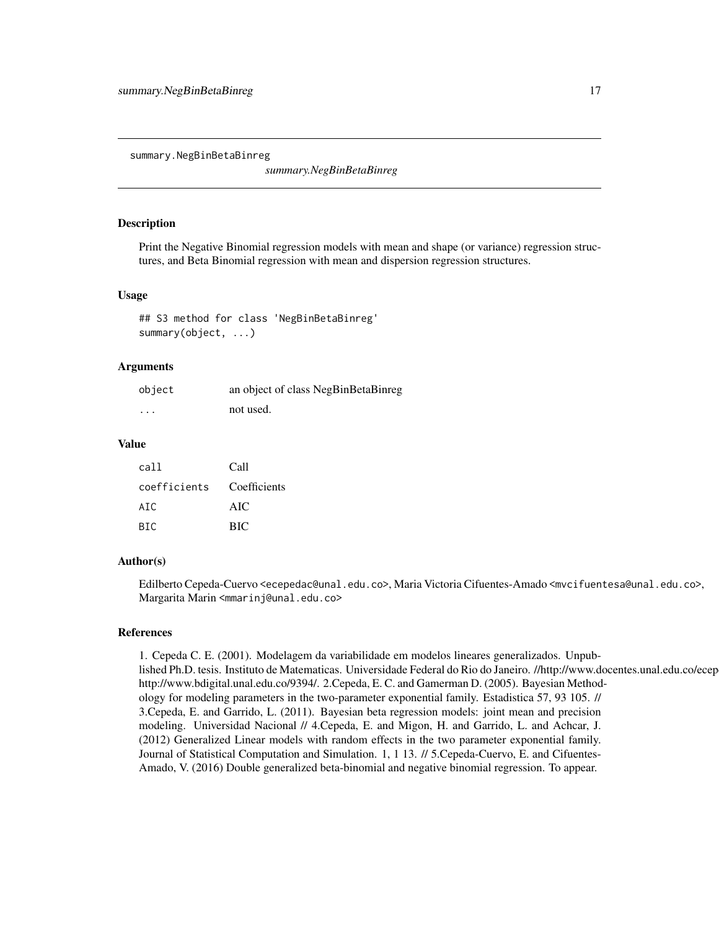<span id="page-16-0"></span>summary.NegBinBetaBinreg

*summary.NegBinBetaBinreg*

## Description

Print the Negative Binomial regression models with mean and shape (or variance) regression structures, and Beta Binomial regression with mean and dispersion regression structures.

## Usage

## S3 method for class 'NegBinBetaBinreg' summary(object, ...)

## Arguments

| object            | an object of class NegBinBetaBinreg |
|-------------------|-------------------------------------|
| $\cdot\cdot\cdot$ | not used.                           |

## Value

| cal l        | Call         |
|--------------|--------------|
| coefficients | Coefficients |
| ATC.         | AIC          |
| BTC.         | <b>BIC</b>   |

#### Author(s)

Edilberto Cepeda-Cuervo <ecepedac@unal.edu.co>, Maria Victoria Cifuentes-Amado <mvcifuentesa@unal.edu.co>, Margarita Marin <mmarinj@unal.edu.co>

## References

1. Cepeda C. E. (2001). Modelagem da variabilidade em modelos lineares generalizados. Unpublished Ph.D. tesis. Instituto de Matematicas. Universidade Federal do Rio do Janeiro. //http://www.docentes.unal.edu.co/ecep http://www.bdigital.unal.edu.co/9394/. 2.Cepeda, E. C. and Gamerman D. (2005). Bayesian Methodology for modeling parameters in the two-parameter exponential family. Estadistica 57, 93 105. // 3.Cepeda, E. and Garrido, L. (2011). Bayesian beta regression models: joint mean and precision modeling. Universidad Nacional // 4.Cepeda, E. and Migon, H. and Garrido, L. and Achcar, J. (2012) Generalized Linear models with random effects in the two parameter exponential family. Journal of Statistical Computation and Simulation. 1, 1 13. // 5.Cepeda-Cuervo, E. and Cifuentes-Amado, V. (2016) Double generalized beta-binomial and negative binomial regression. To appear.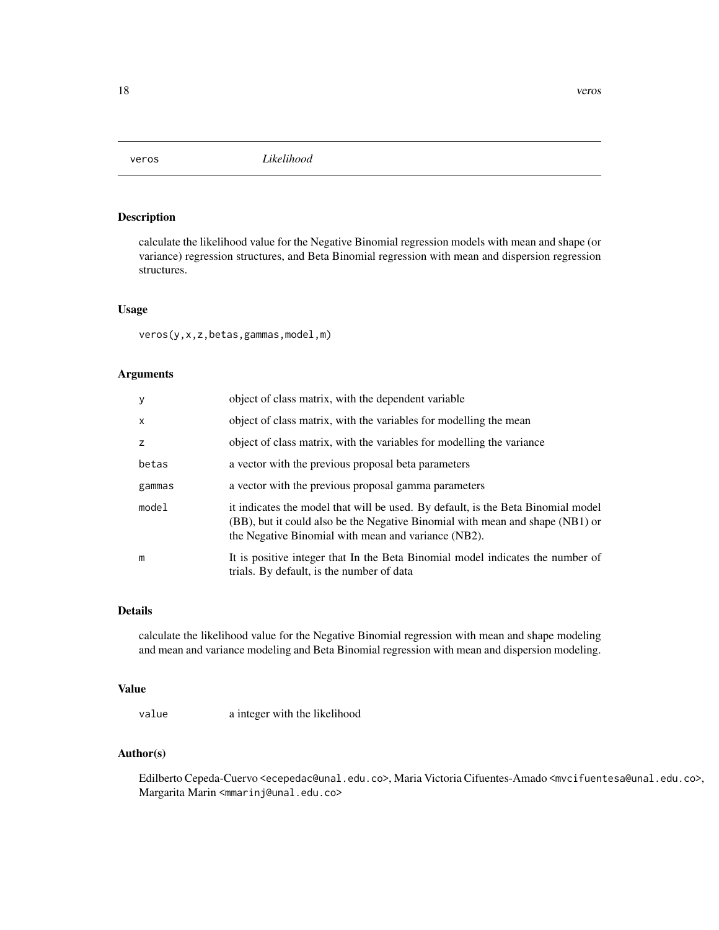<span id="page-17-0"></span>

## Description

calculate the likelihood value for the Negative Binomial regression models with mean and shape (or variance) regression structures, and Beta Binomial regression with mean and dispersion regression structures.

## Usage

veros(y,x,z,betas,gammas,model,m)

## Arguments

| <b>y</b>     | object of class matrix, with the dependent variable                                                                                                                                                                      |
|--------------|--------------------------------------------------------------------------------------------------------------------------------------------------------------------------------------------------------------------------|
| $\mathsf{x}$ | object of class matrix, with the variables for modelling the mean                                                                                                                                                        |
| z            | object of class matrix, with the variables for modelling the variance                                                                                                                                                    |
| betas        | a vector with the previous proposal beta parameters                                                                                                                                                                      |
| gammas       | a vector with the previous proposal gamma parameters                                                                                                                                                                     |
| model        | it indicates the model that will be used. By default, is the Beta Binomial model<br>(BB), but it could also be the Negative Binomial with mean and shape (NB1) or<br>the Negative Binomial with mean and variance (NB2). |
| m            | It is positive integer that In the Beta Binomial model indicates the number of<br>trials. By default, is the number of data                                                                                              |

#### Details

calculate the likelihood value for the Negative Binomial regression with mean and shape modeling and mean and variance modeling and Beta Binomial regression with mean and dispersion modeling.

## Value

value a integer with the likelihood

## Author(s)

Edilberto Cepeda-Cuervo <ecepedac@unal.edu.co>, Maria Victoria Cifuentes-Amado <mvcifuentesa@unal.edu.co>, Margarita Marin <mmarinj@unal.edu.co>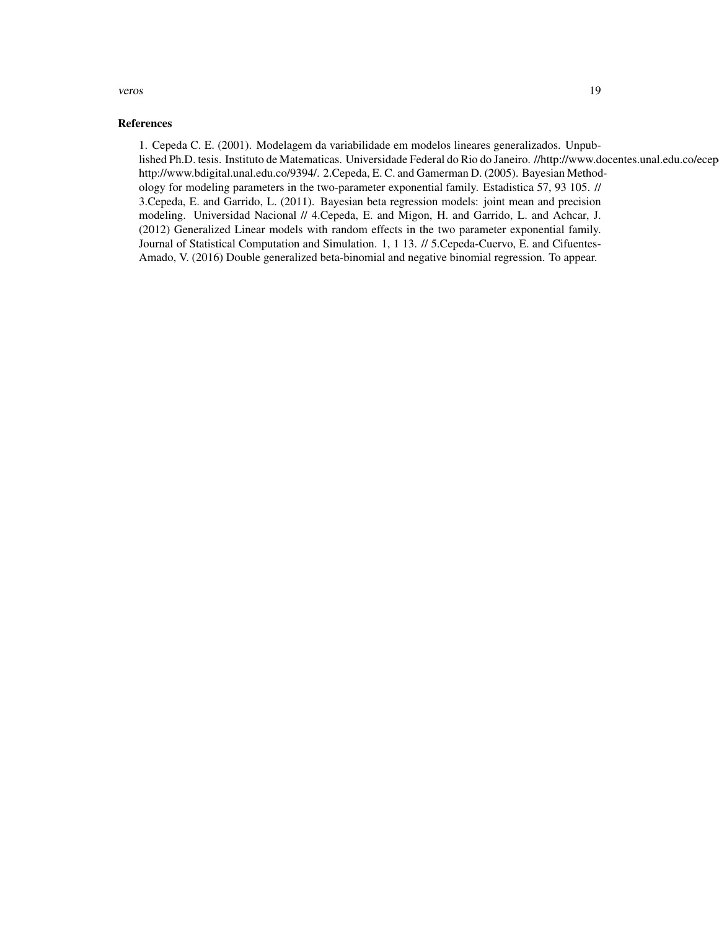#### veros 19

## References

1. Cepeda C. E. (2001). Modelagem da variabilidade em modelos lineares generalizados. Unpublished Ph.D. tesis. Instituto de Matematicas. Universidade Federal do Rio do Janeiro. //http://www.docentes.unal.edu.co/ecep http://www.bdigital.unal.edu.co/9394/. 2.Cepeda, E. C. and Gamerman D. (2005). Bayesian Methodology for modeling parameters in the two-parameter exponential family. Estadistica 57, 93 105. // 3.Cepeda, E. and Garrido, L. (2011). Bayesian beta regression models: joint mean and precision modeling. Universidad Nacional // 4.Cepeda, E. and Migon, H. and Garrido, L. and Achcar, J. (2012) Generalized Linear models with random effects in the two parameter exponential family. Journal of Statistical Computation and Simulation. 1, 1 13. // 5.Cepeda-Cuervo, E. and Cifuentes-Amado, V. (2016) Double generalized beta-binomial and negative binomial regression. To appear.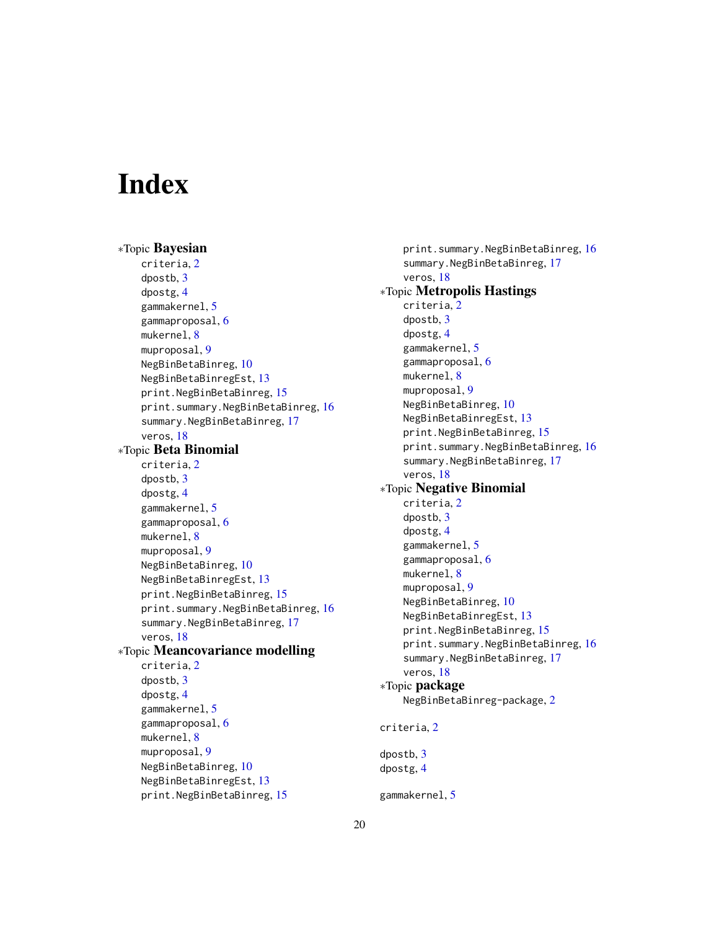## <span id="page-19-0"></span>**Index**

∗Topic Bayesian criteria, [2](#page-1-0) dpostb, [3](#page-2-0) dpostg, [4](#page-3-0) gammakernel, [5](#page-4-0) gammaproposal, [6](#page-5-0) mukernel, [8](#page-7-0) muproposal, [9](#page-8-0) NegBinBetaBinreg, [10](#page-9-0) NegBinBetaBinregEst, [13](#page-12-0) print.NegBinBetaBinreg, [15](#page-14-0) print.summary.NegBinBetaBinreg, [16](#page-15-0) summary.NegBinBetaBinreg, [17](#page-16-0) veros, [18](#page-17-0) ∗Topic Beta Binomial criteria, [2](#page-1-0) dpostb, [3](#page-2-0) dpostg, [4](#page-3-0) gammakernel, [5](#page-4-0) gammaproposal, [6](#page-5-0) mukernel, [8](#page-7-0) muproposal, [9](#page-8-0) NegBinBetaBinreg, [10](#page-9-0) NegBinBetaBinregEst, [13](#page-12-0) print.NegBinBetaBinreg, [15](#page-14-0) print.summary.NegBinBetaBinreg, [16](#page-15-0) summary.NegBinBetaBinreg, [17](#page-16-0) veros, [18](#page-17-0) ∗Topic Meancovariance modelling criteria, [2](#page-1-0) dpostb, [3](#page-2-0) dpostg, [4](#page-3-0) gammakernel, [5](#page-4-0) gammaproposal, [6](#page-5-0) mukernel, [8](#page-7-0) muproposal, [9](#page-8-0) NegBinBetaBinreg, [10](#page-9-0) NegBinBetaBinregEst, [13](#page-12-0) print.NegBinBetaBinreg, [15](#page-14-0)

print.summary.NegBinBetaBinreg, [16](#page-15-0) summary.NegBinBetaBinreg, [17](#page-16-0) veros, [18](#page-17-0) ∗Topic Metropolis Hastings criteria, [2](#page-1-0) dpostb, [3](#page-2-0) dpostg, [4](#page-3-0) gammakernel, [5](#page-4-0) gammaproposal, [6](#page-5-0) mukernel, [8](#page-7-0) muproposal, [9](#page-8-0) NegBinBetaBinreg, [10](#page-9-0) NegBinBetaBinregEst, [13](#page-12-0) print.NegBinBetaBinreg, [15](#page-14-0) print.summary.NegBinBetaBinreg, [16](#page-15-0) summary.NegBinBetaBinreg, [17](#page-16-0) veros, [18](#page-17-0) ∗Topic Negative Binomial criteria, [2](#page-1-0) dpostb, [3](#page-2-0) dpostg, [4](#page-3-0) gammakernel, [5](#page-4-0) gammaproposal, [6](#page-5-0) mukernel, [8](#page-7-0) muproposal, [9](#page-8-0) NegBinBetaBinreg, [10](#page-9-0) NegBinBetaBinregEst, [13](#page-12-0) print.NegBinBetaBinreg, [15](#page-14-0) print.summary.NegBinBetaBinreg, [16](#page-15-0) summary.NegBinBetaBinreg, [17](#page-16-0) veros, [18](#page-17-0) ∗Topic package NegBinBetaBinreg-package, [2](#page-1-0) criteria, [2](#page-1-0) dpostb, [3](#page-2-0) dpostg, [4](#page-3-0) gammakernel, [5](#page-4-0)